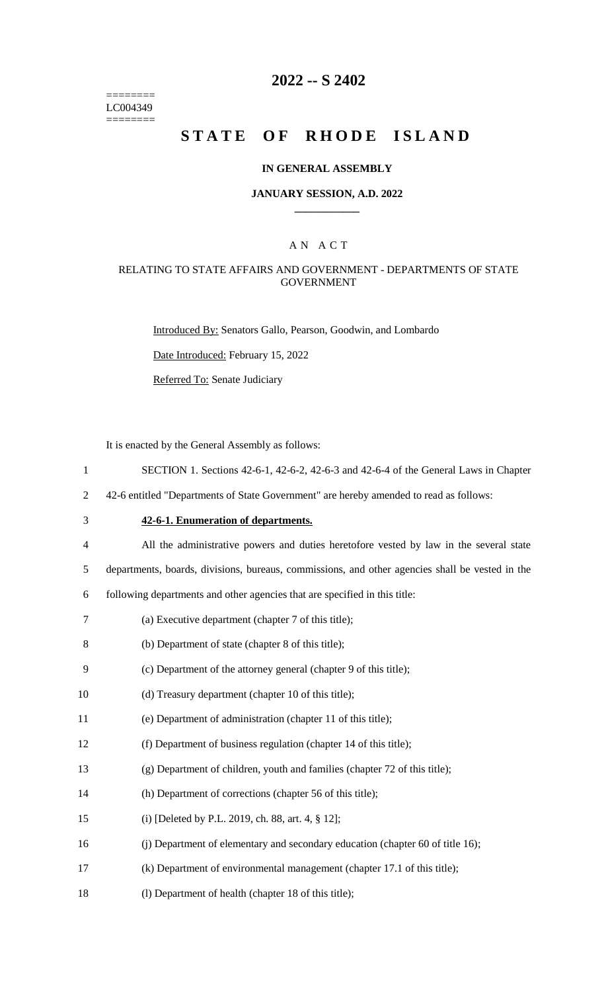======== LC004349 ========

### **2022 -- S 2402**

# **STATE OF RHODE ISLAND**

#### **IN GENERAL ASSEMBLY**

#### **JANUARY SESSION, A.D. 2022 \_\_\_\_\_\_\_\_\_\_\_\_**

### A N A C T

#### RELATING TO STATE AFFAIRS AND GOVERNMENT - DEPARTMENTS OF STATE GOVERNMENT

Introduced By: Senators Gallo, Pearson, Goodwin, and Lombardo

Date Introduced: February 15, 2022

Referred To: Senate Judiciary

It is enacted by the General Assembly as follows:

- 1 SECTION 1. Sections 42-6-1, 42-6-2, 42-6-3 and 42-6-4 of the General Laws in Chapter
- 2 42-6 entitled "Departments of State Government" are hereby amended to read as follows:
- 

3 **42-6-1. Enumeration of departments.**

4 All the administrative powers and duties heretofore vested by law in the several state

5 departments, boards, divisions, bureaus, commissions, and other agencies shall be vested in the

6 following departments and other agencies that are specified in this title:

- 7 (a) Executive department (chapter 7 of this title);
- 8 (b) Department of state (chapter 8 of this title);
- 9 (c) Department of the attorney general (chapter 9 of this title);
- 10 (d) Treasury department (chapter 10 of this title);
- 11 (e) Department of administration (chapter 11 of this title);
- 12 (f) Department of business regulation (chapter 14 of this title);
- 13 (g) Department of children, youth and families (chapter 72 of this title);
- 14 (h) Department of corrections (chapter 56 of this title);
- 15 (i) [Deleted by P.L. 2019, ch. 88, art. 4, § 12];
- 16 (j) Department of elementary and secondary education (chapter 60 of title 16);
- 17 (k) Department of environmental management (chapter 17.1 of this title);
- 18 (l) Department of health (chapter 18 of this title);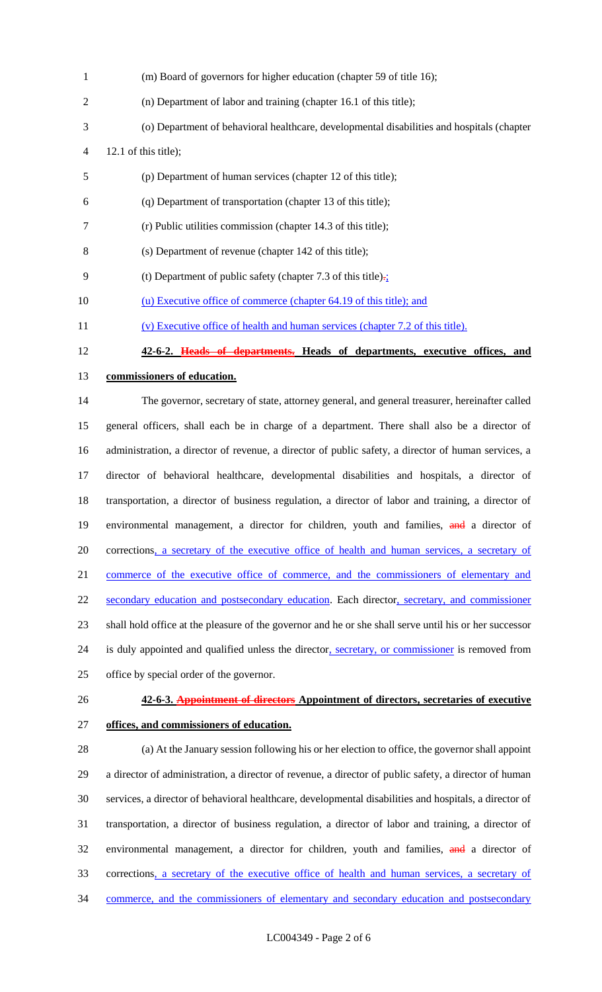| $\mathbf{1}$   | (m) Board of governors for higher education (chapter 59 of title 16);                                  |
|----------------|--------------------------------------------------------------------------------------------------------|
| $\overline{c}$ | (n) Department of labor and training (chapter 16.1 of this title);                                     |
| 3              | (o) Department of behavioral healthcare, developmental disabilities and hospitals (chapter             |
| 4              | 12.1 of this title);                                                                                   |
| 5              | (p) Department of human services (chapter 12 of this title);                                           |
| 6              | (q) Department of transportation (chapter 13 of this title);                                           |
| 7              | (r) Public utilities commission (chapter 14.3 of this title);                                          |
| 8              | (s) Department of revenue (chapter 142 of this title);                                                 |
| 9              | (t) Department of public safety (chapter 7.3 of this title) $\frac{1}{2}$                              |
| 10             | (u) Executive office of commerce (chapter 64.19 of this title); and                                    |
| 11             | (v) Executive office of health and human services (chapter 7.2 of this title).                         |
| 12             | 42-6-2. Heads of departments. Heads of departments, executive offices, and                             |
| 13             | commissioners of education.                                                                            |
| 14             | The governor, secretary of state, attorney general, and general treasurer, hereinafter called          |
| 15             | general officers, shall each be in charge of a department. There shall also be a director of           |
| 16             | administration, a director of revenue, a director of public safety, a director of human services, a    |
| 17             | director of behavioral healthcare, developmental disabilities and hospitals, a director of             |
| 18             | transportation, a director of business regulation, a director of labor and training, a director of     |
| 19             | environmental management, a director for children, youth and families, and a director of               |
| 20             | corrections, a secretary of the executive office of health and human services, a secretary of          |
| 21             | commerce of the executive office of commerce, and the commissioners of elementary and                  |
| 22             | secondary education and postsecondary education. Each director, secretary, and commissioner            |
| 23             | shall hold office at the pleasure of the governor and he or she shall serve until his or her successor |
| 24             | is duly appointed and qualified unless the director, secretary, or commissioner is removed from        |
| 25             | office by special order of the governor.                                                               |
| 26             | 42-6-3. Appointment of directors Appointment of directors, secretaries of executive                    |
| 27             | offices, and commissioners of education.                                                               |
| 28             | (a) At the January session following his or her election to office, the governor shall appoint         |
| 29             | a director of administration, a director of revenue, a director of public safety, a director of human  |
| 30             | services, a director of behavioral healthcare, developmental disabilities and hospitals, a director of |
| 31             | transportation, a director of business regulation, a director of labor and training, a director of     |
| 32             | environmental management, a director for children, youth and families, and a director of               |

33 corrections, a secretary of the executive office of health and human services, a secretary of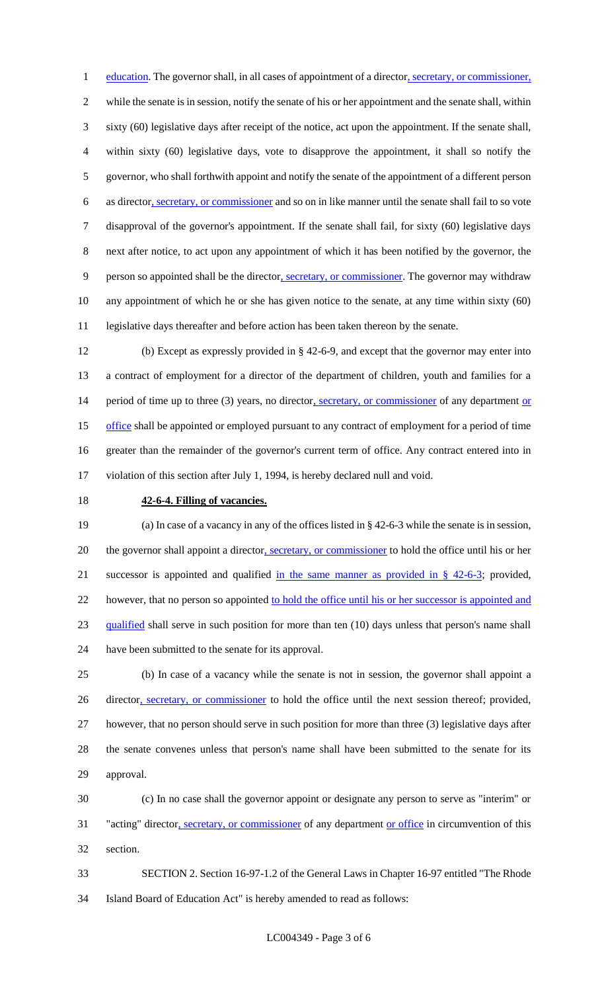1 education. The governor shall, in all cases of appointment of a director, secretary, or commissioner, while the senate is in session, notify the senate of his or her appointment and the senate shall, within sixty (60) legislative days after receipt of the notice, act upon the appointment. If the senate shall, within sixty (60) legislative days, vote to disapprove the appointment, it shall so notify the governor, who shall forthwith appoint and notify the senate of the appointment of a different person 6 as director, secretary, or commissioner and so on in like manner until the senate shall fail to so vote disapproval of the governor's appointment. If the senate shall fail, for sixty (60) legislative days next after notice, to act upon any appointment of which it has been notified by the governor, the person so appointed shall be the director, secretary, or commissioner. The governor may withdraw any appointment of which he or she has given notice to the senate, at any time within sixty (60) legislative days thereafter and before action has been taken thereon by the senate.

 (b) Except as expressly provided in § 42-6-9, and except that the governor may enter into a contract of employment for a director of the department of children, youth and families for a 14 period of time up to three (3) years, no director, secretary, or commissioner of any department or 15 office shall be appointed or employed pursuant to any contract of employment for a period of time greater than the remainder of the governor's current term of office. Any contract entered into in violation of this section after July 1, 1994, is hereby declared null and void.

### **42-6-4. Filling of vacancies.**

 (a) In case of a vacancy in any of the offices listed in § 42-6-3 while the senate is in session, 20 the governor shall appoint a director, secretary, or commissioner to hold the office until his or her 21 successor is appointed and qualified in the same manner as provided in  $\S$  42-6-3; provided, 22 however, that no person so appointed to hold the office until his or her successor is appointed and qualified shall serve in such position for more than ten (10) days unless that person's name shall have been submitted to the senate for its approval.

 (b) In case of a vacancy while the senate is not in session, the governor shall appoint a 26 director, secretary, or commissioner to hold the office until the next session thereof; provided, however, that no person should serve in such position for more than three (3) legislative days after the senate convenes unless that person's name shall have been submitted to the senate for its approval.

 (c) In no case shall the governor appoint or designate any person to serve as "interim" or "acting" director, secretary, or commissioner of any department or office in circumvention of this section.

 SECTION 2. Section 16-97-1.2 of the General Laws in Chapter 16-97 entitled "The Rhode Island Board of Education Act" is hereby amended to read as follows: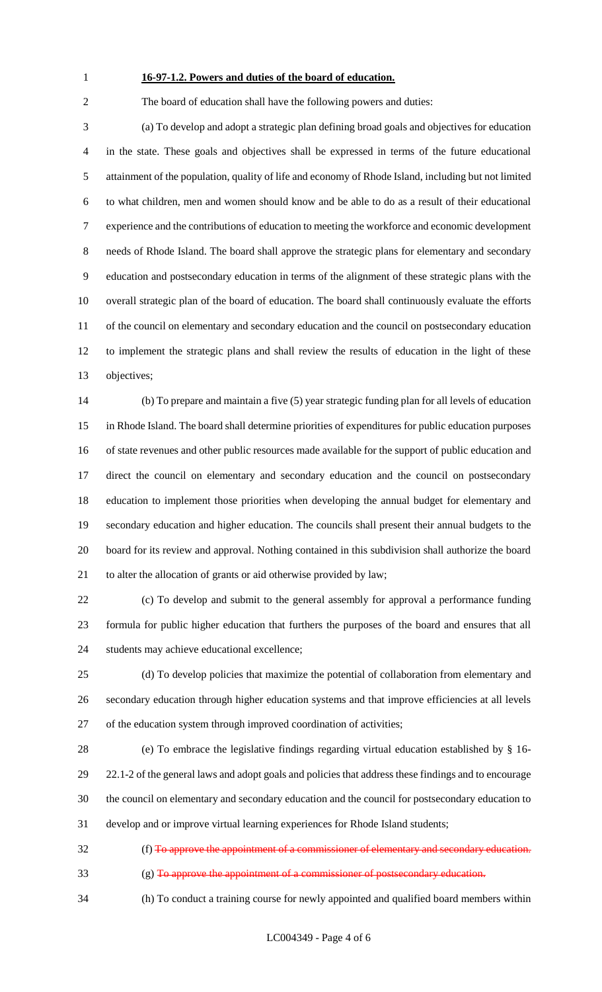### **16-97-1.2. Powers and duties of the board of education.**

The board of education shall have the following powers and duties:

 (a) To develop and adopt a strategic plan defining broad goals and objectives for education in the state. These goals and objectives shall be expressed in terms of the future educational attainment of the population, quality of life and economy of Rhode Island, including but not limited to what children, men and women should know and be able to do as a result of their educational experience and the contributions of education to meeting the workforce and economic development needs of Rhode Island. The board shall approve the strategic plans for elementary and secondary education and postsecondary education in terms of the alignment of these strategic plans with the overall strategic plan of the board of education. The board shall continuously evaluate the efforts 11 of the council on elementary and secondary education and the council on postsecondary education to implement the strategic plans and shall review the results of education in the light of these objectives;

 (b) To prepare and maintain a five (5) year strategic funding plan for all levels of education in Rhode Island. The board shall determine priorities of expenditures for public education purposes of state revenues and other public resources made available for the support of public education and direct the council on elementary and secondary education and the council on postsecondary education to implement those priorities when developing the annual budget for elementary and secondary education and higher education. The councils shall present their annual budgets to the board for its review and approval. Nothing contained in this subdivision shall authorize the board to alter the allocation of grants or aid otherwise provided by law;

 (c) To develop and submit to the general assembly for approval a performance funding formula for public higher education that furthers the purposes of the board and ensures that all students may achieve educational excellence;

 (d) To develop policies that maximize the potential of collaboration from elementary and secondary education through higher education systems and that improve efficiencies at all levels of the education system through improved coordination of activities;

 (e) To embrace the legislative findings regarding virtual education established by § 16- 22.1-2 of the general laws and adopt goals and policies that address these findings and to encourage the council on elementary and secondary education and the council for postsecondary education to develop and or improve virtual learning experiences for Rhode Island students;

 (f) To approve the appointment of a commissioner of elementary and secondary education. (g) To approve the appointment of a commissioner of postsecondary education.

(h) To conduct a training course for newly appointed and qualified board members within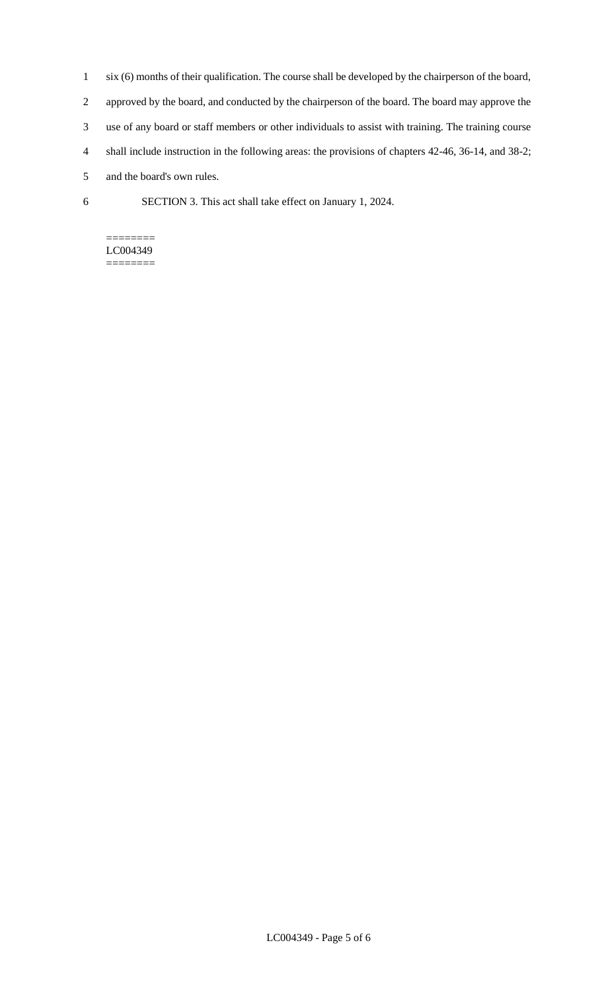- 1 six (6) months of their qualification. The course shall be developed by the chairperson of the board, 2 approved by the board, and conducted by the chairperson of the board. The board may approve the 3 use of any board or staff members or other individuals to assist with training. The training course 4 shall include instruction in the following areas: the provisions of chapters 42-46, 36-14, and 38-2; 5 and the board's own rules.
- 6 SECTION 3. This act shall take effect on January 1, 2024.

#### ======== LC004349

========